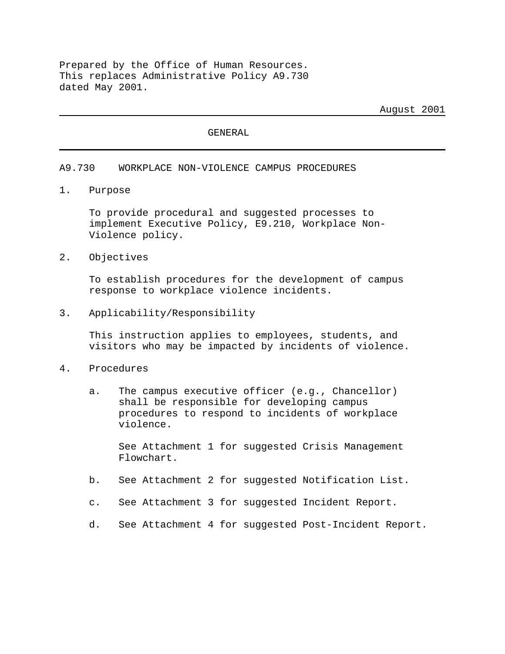Prepared by the Office of Human Resources. This replaces Administrative Policy A9.730 dated May 2001.

August 2001

GENERAL

#### A9.730 WORKPLACE NON-VIOLENCE CAMPUS PROCEDURES

1. Purpose

To provide procedural and suggested processes to implement Executive Policy, E9.210, Workplace Non-Violence policy.

2. Objectives

To establish procedures for the development of campus response to workplace violence incidents.

#### 3. Applicability/Responsibility

This instruction applies to employees, students, and visitors who may be impacted by incidents of violence.

#### 4. Procedures

a. The campus executive officer (e.g., Chancellor) shall be responsible for developing campus procedures to respond to incidents of workplace violence.

See Attachment 1 for suggested Crisis Management Flowchart.

- b. See Attachment 2 for suggested Notification List.
- c. See Attachment 3 for suggested Incident Report.
- d. See Attachment 4 for suggested Post-Incident Report.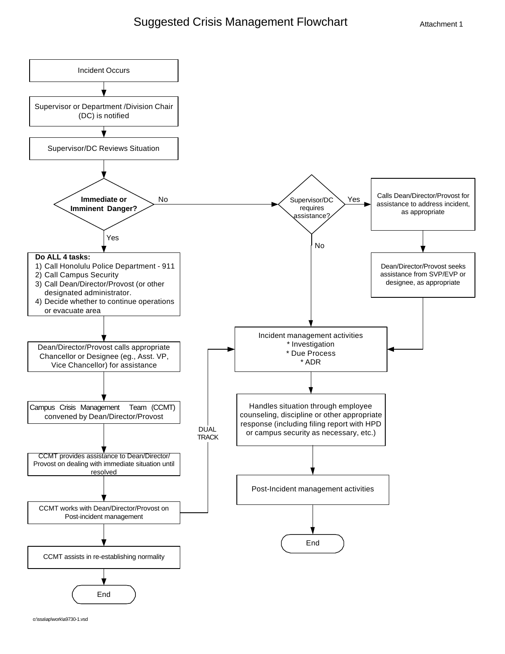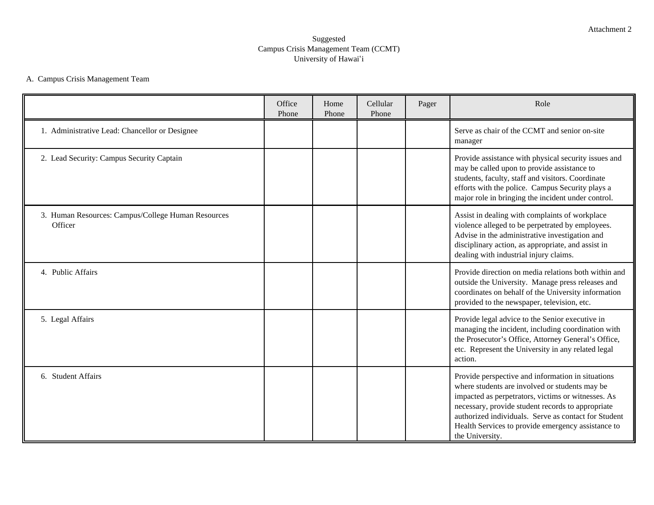### Suggested Campus Crisis Management Team (CCMT) University of Hawai'i

## A. Campus Crisis Management Team

|                                                               | Office<br>Phone | Home<br>Phone | Cellular<br>Phone | Pager | Role                                                                                                                                                                                                                                                                                                                                            |
|---------------------------------------------------------------|-----------------|---------------|-------------------|-------|-------------------------------------------------------------------------------------------------------------------------------------------------------------------------------------------------------------------------------------------------------------------------------------------------------------------------------------------------|
| 1. Administrative Lead: Chancellor or Designee                |                 |               |                   |       | Serve as chair of the CCMT and senior on-site<br>manager                                                                                                                                                                                                                                                                                        |
| 2. Lead Security: Campus Security Captain                     |                 |               |                   |       | Provide assistance with physical security issues and<br>may be called upon to provide assistance to<br>students, faculty, staff and visitors. Coordinate<br>efforts with the police. Campus Security plays a<br>major role in bringing the incident under control.                                                                              |
| 3. Human Resources: Campus/College Human Resources<br>Officer |                 |               |                   |       | Assist in dealing with complaints of workplace<br>violence alleged to be perpetrated by employees.<br>Advise in the administrative investigation and<br>disciplinary action, as appropriate, and assist in<br>dealing with industrial injury claims.                                                                                            |
| 4. Public Affairs                                             |                 |               |                   |       | Provide direction on media relations both within and<br>outside the University. Manage press releases and<br>coordinates on behalf of the University information<br>provided to the newspaper, television, etc.                                                                                                                                 |
| 5. Legal Affairs                                              |                 |               |                   |       | Provide legal advice to the Senior executive in<br>managing the incident, including coordination with<br>the Prosecutor's Office, Attorney General's Office,<br>etc. Represent the University in any related legal<br>action.                                                                                                                   |
| 6. Student Affairs                                            |                 |               |                   |       | Provide perspective and information in situations<br>where students are involved or students may be<br>impacted as perpetrators, victims or witnesses. As<br>necessary, provide student records to appropriate<br>authorized individuals. Serve as contact for Student<br>Health Services to provide emergency assistance to<br>the University. |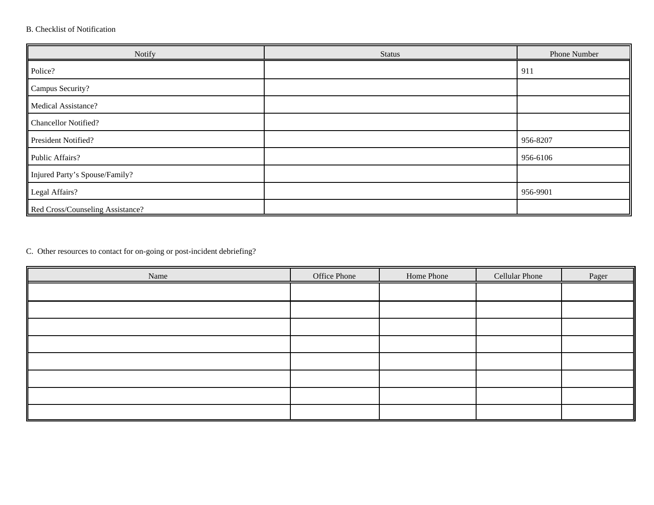## B. Checklist of Notification

| Notify                           | <b>Status</b> | Phone Number |
|----------------------------------|---------------|--------------|
| Police?                          |               | 911          |
| Campus Security?                 |               |              |
| <b>Medical Assistance?</b>       |               |              |
| <b>Chancellor Notified?</b>      |               |              |
| President Notified?              |               | 956-8207     |
| Public Affairs?                  |               | 956-6106     |
| Injured Party's Spouse/Family?   |               |              |
| Legal Affairs?                   |               | 956-9901     |
| Red Cross/Counseling Assistance? |               |              |

C. Other resources to contact for on-going or post-incident debriefing?

| Name | Office Phone | Home Phone | <b>Cellular Phone</b> | Pager |
|------|--------------|------------|-----------------------|-------|
|      |              |            |                       |       |
|      |              |            |                       |       |
|      |              |            |                       |       |
|      |              |            |                       |       |
|      |              |            |                       |       |
|      |              |            |                       |       |
|      |              |            |                       |       |
|      |              |            |                       |       |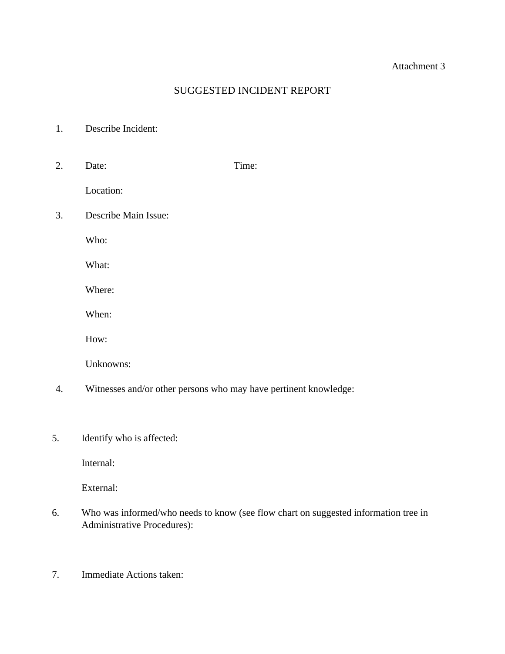## Attachment 3

## SUGGESTED INCIDENT REPORT

- 1. Describe Incident:
- 2. Date: Time:

Location:

3. Describe Main Issue:

Who:

What:

Where:

When:

How:

Unknowns:

- 4. Witnesses and/or other persons who may have pertinent knowledge:
- 5. Identify who is affected:

Internal:

External:

- 6. Who was informed/who needs to know (see flow chart on suggested information tree in Administrative Procedures):
- 7. Immediate Actions taken: